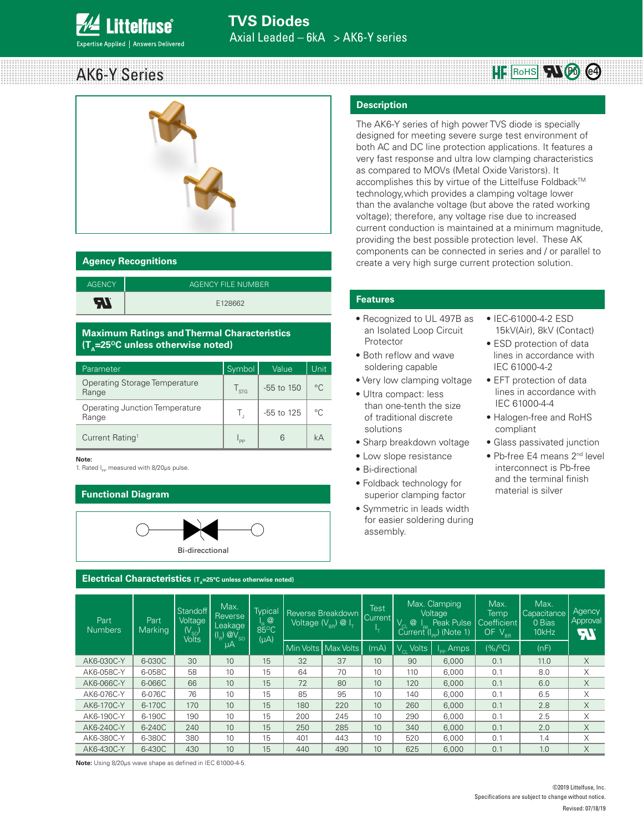

# AK6-Y Series



#### **Agency Recognitions**

| <b>AGENCY</b> | AGENCY FILE NUMBER |
|---------------|--------------------|
| 7. م          | E128662            |

#### **Maximum Ratings and Thermal Characteristics (T<sub>A</sub>=25<sup>o</sup>C unless otherwise noted)**

| Parameter                               | Symbol                | Value      | Unit         |
|-----------------------------------------|-----------------------|------------|--------------|
| Operating Storage Temperature<br>Range  | $\Gamma_{\text{STG}}$ | -55 to 150 | $^{\circ}$ C |
| Operating Junction Temperature<br>Range | г.                    | -55 to 125 | $\circ$ C    |
| Current Rating <sup>1</sup>             | ' PP                  | 6          | kΔ           |

#### **Note:**

1. Rated  $I_{pp}$  measured with 8/20μs pulse.

#### **Functional Diagram**



#### **Electrical Characteristics (T**

# **Description**

The AK6-Y series of high power TVS diode is specially designed for meeting severe surge test environment of both AC and DC line protection applications. It features a very fast response and ultra low clamping characteristics as compared to MOVs (Metal Oxide Varistors). It accomplishes this by virtue of the Littelfuse Foldback™ technology,which provides a clamping voltage lower than the avalanche voltage (but above the rated working voltage); therefore, any voltage rise due to increased current conduction is maintained at a minimum magnitude, providing the best possible protection level. These AK components can be connected in series and / or parallel to create a very high surge current protection solution.

#### **Features**

- Recognized to UL 497B as an Isolated Loop Circuit Protector
- Both reflow and wave soldering capable
- Very low clamping voltage
- Ultra compact: less
- than one-tenth the size of traditional discrete solutions
- Sharp breakdown voltage
- Low slope resistance
- Bi-directional
- Foldback technology for superior clamping factor
- Symmetric in leads width for easier soldering during assembly.
- IEC-61000-4-2 ESD 15kV(Air), 8kV (Contact)
- ESD protection of data lines in accordance with IEC 61000-4-2
- EFT protection of data lines in accordance with IEC 61000-4-4
- Halogen-free and RoHS compliant
- Glass passivated junction
- Pb-free E4 means 2<sup>nd</sup> level interconnect is Pb-free and the terminal finish material is silver

| Part<br><b>Numbers</b> | Part<br>Marking | Standoff<br>Voltage<br>(V $_{\rm SO}$ )<br><b>Volts</b> | Max.<br>Reverse<br>Leakage<br>$(I_R)$ $@V_{SO}$ | Typical<br><b>R</b> <sup>@</sup><br>$85^{\circ}$ C<br>$(\mu A)$ | Reverse Breakdown<br>Voltage $(V_{\text{eq}}) \otimes I_{\tau}$ |                     |      |                                  | Max. Clamping<br><b>Test</b><br>Voltage<br>Current<br>$V_{CL}$ @ $I_{pp}$ Peak Pulse<br>Current ( $I_{pp}$ ) (Note 1) |         | Max.<br>Temp<br>Coefficient<br>OF V <sub>BR</sub> | Max.<br>Capacitance<br>0 Bias<br>10kHz | Agency<br>Approval<br>FI |
|------------------------|-----------------|---------------------------------------------------------|-------------------------------------------------|-----------------------------------------------------------------|-----------------------------------------------------------------|---------------------|------|----------------------------------|-----------------------------------------------------------------------------------------------------------------------|---------|---------------------------------------------------|----------------------------------------|--------------------------|
|                        |                 |                                                         | μA                                              |                                                                 |                                                                 | Min Volts Max Volts | (mA) | <b>Volts</b><br>$\rm V_{\rm cl}$ | $I_{\text{op}}$ Amps                                                                                                  | (% / C) | (nF)                                              |                                        |                          |
| AK6-030C-Y             | 6-030C          | 30                                                      | 10                                              | 15                                                              | 32                                                              | 37                  | 10   | 90                               | 6,000                                                                                                                 | 0.1     | 11.0                                              | X                                      |                          |
| AK6-058C-Y             | 6-058C          | 58                                                      | 10                                              | 15                                                              | 64                                                              | 70                  | 10   | 110                              | 6,000                                                                                                                 | 0.1     | 8.0                                               | Χ                                      |                          |
| AK6-066C-Y             | 6-066C          | 66                                                      | 10                                              | 15                                                              | 72                                                              | 80                  | 10   | 120                              | 6,000                                                                                                                 | 0.1     | 6.0                                               | X                                      |                          |
| AK6-076C-Y             | 6-076C          | 76                                                      | 10                                              | 15                                                              | 85                                                              | 95                  | 10   | 140                              | 6,000                                                                                                                 | 0.1     | 6.5                                               | Χ                                      |                          |
| AK6-170C-Y             | 6-170C          | 170                                                     | 10                                              | 15                                                              | 180                                                             | 220                 | 10   | 260                              | 6,000                                                                                                                 | 0.1     | 2.8                                               | X                                      |                          |
| AK6-190C-Y             | 6-190C          | 190                                                     | 10                                              | 15                                                              | 200                                                             | 245                 | 10   | 290                              | 6,000                                                                                                                 | 0.1     | 2.5                                               | X                                      |                          |
| AK6-240C-Y             | 6-240C          | 240                                                     | 10                                              | 15                                                              | 250                                                             | 285                 | 10   | 340                              | 6,000                                                                                                                 | 0.1     | 2.0                                               | X                                      |                          |
| AK6-380C-Y             | 6-380C          | 380                                                     | 10                                              | 15                                                              | 401                                                             | 443                 | 10   | 520                              | 6,000                                                                                                                 | 0.1     | 1.4                                               | X                                      |                          |
| AK6-430C-Y             | 6-430C          | 430                                                     | 10                                              | 15                                                              | 440                                                             | 490                 | 10   | 625                              | 6,000                                                                                                                 | 0.1     | 1.0                                               | X                                      |                          |
|                        |                 |                                                         |                                                 |                                                                 |                                                                 |                     |      |                                  |                                                                                                                       |         |                                                   |                                        |                          |

**Note:** Using 8/20μs wave shape as defined in IEC 61000-4-5.

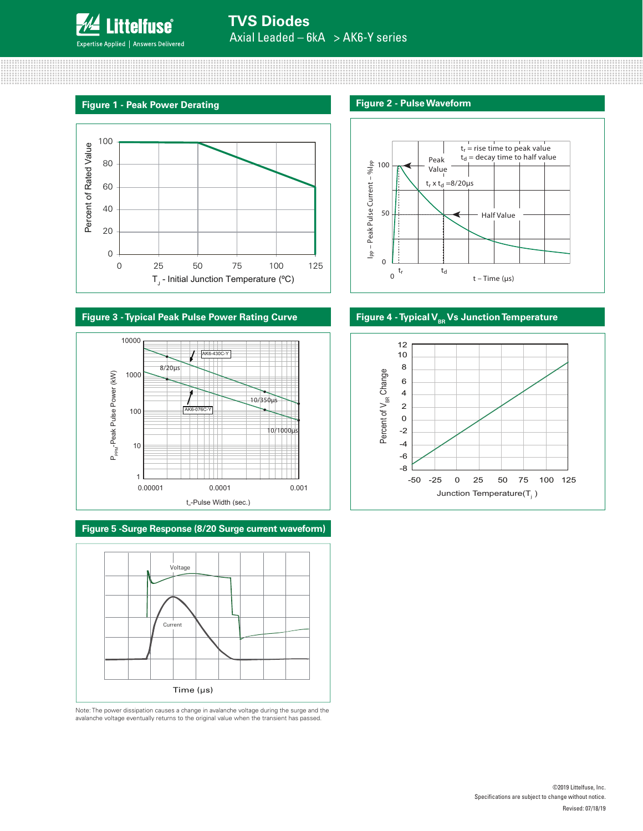

## **TVS Diodes** Axial Leaded – 6kA > AK6-Y series

#### **Figure 1 - Peak Power Derating**



#### **Figure 3 - Typical Peak Pulse Power Rating Curve The Pulse Pullet Pullet Pullet Pullet Pullet Pullet Pullet Pullet Pullet Pullet Pullet Pullet Pullet Pullet Pullet Pullet Pullet Pullet Pullet Pullet Pullet Pullet Pullet P**



**Figure 5 -Surge Response (8/20 Surge current waveform)**



Note: The power dissipation causes a change in avalanche voltage during the surge and the avalanche voltage eventually returns to the original value when the transient has passed.

#### **Figure 2 - Pulse Waveform**



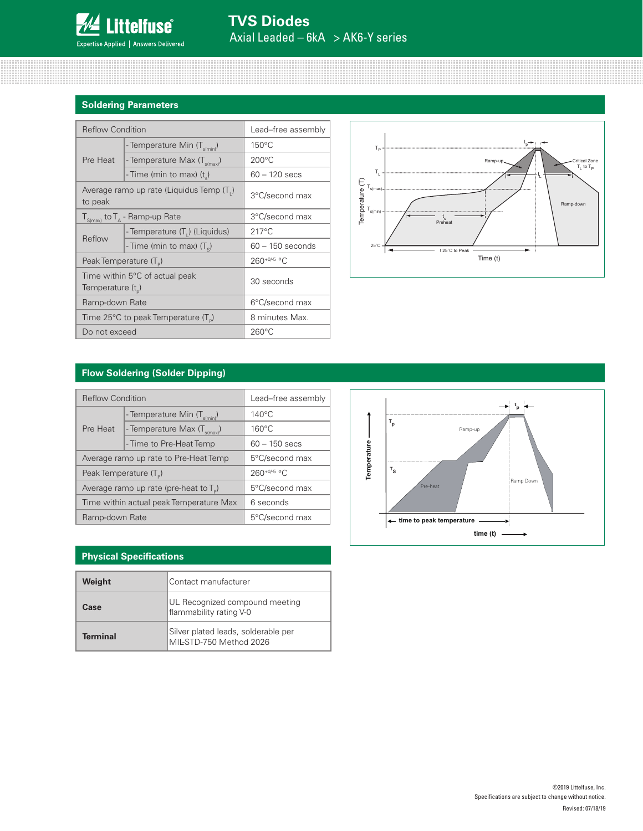

### **Soldering Parameters**

| <b>Reflow Condition</b>            |                                                 | Lead-free assembly |  |  |
|------------------------------------|-------------------------------------------------|--------------------|--|--|
|                                    | - Temperature Min (T <sub>s(min)</sub> )        | $150^{\circ}$ C    |  |  |
| Pre Heat                           | - Temperature Max (T <sub>s(max)</sub> )        | $200^{\circ}$ C    |  |  |
|                                    | - Time (min to max) (t)                         | $60 - 120$ secs    |  |  |
| to peak                            | Average ramp up rate (Liquidus Temp (T.)        | 3°C/second max     |  |  |
|                                    | $T_{S(max)}$ to $T_A$ - Ramp-up Rate            | 3°C/second max     |  |  |
| Reflow                             | - Temperature (T,) (Liquidus)                   | $217^{\circ}$ C    |  |  |
|                                    | - Time (min to max) $(T_c)$                     | $60 - 150$ seconds |  |  |
| Peak Temperature (T <sub>D</sub> ) |                                                 | 260+0/-5 °C        |  |  |
| Temperature $(t_n)$                | Time within 5°C of actual peak                  | 30 seconds         |  |  |
| Ramp-down Rate                     |                                                 | 6°C/second max     |  |  |
|                                    | Time 25°C to peak Temperature (T <sub>p</sub> ) | 8 minutes Max.     |  |  |
| Do not exceed                      |                                                 | $260^{\circ}$ C    |  |  |



#### **Flow Soldering (Solder Dipping)**

| <b>Reflow Condition</b>            |                                           | Lead-free assembly |  |  |
|------------------------------------|-------------------------------------------|--------------------|--|--|
|                                    | - Temperature Min (T <sub>s(min)</sub> )  | $140^{\circ}$ C    |  |  |
| Pre Heat                           | - Temperature Max (T <sub>s(max)</sub> )  | $160^{\circ}$ C    |  |  |
|                                    | - Time to Pre-Heat Temp                   | $60 - 150$ secs    |  |  |
|                                    | Average ramp up rate to Pre-Heat Temp     | 5°C/second max     |  |  |
| Peak Temperature (T <sub>D</sub> ) |                                           | $260^{+0/5}$ °C    |  |  |
|                                    | Average ramp up rate (pre-heat to $T_p$ ) | 5°C/second max     |  |  |
|                                    | Time within actual peak Temperature Max   | 6 seconds          |  |  |
| Ramp-down Rate                     |                                           | 5°C/second max     |  |  |

#### **Physical Specifications**

| Weight          | Contact manufacturer                                           |  |  |
|-----------------|----------------------------------------------------------------|--|--|
| Case            | UL Recognized compound meeting<br>flammability rating V-0      |  |  |
| <b>Terminal</b> | Silver plated leads, solderable per<br>MIL-STD-750 Method 2026 |  |  |